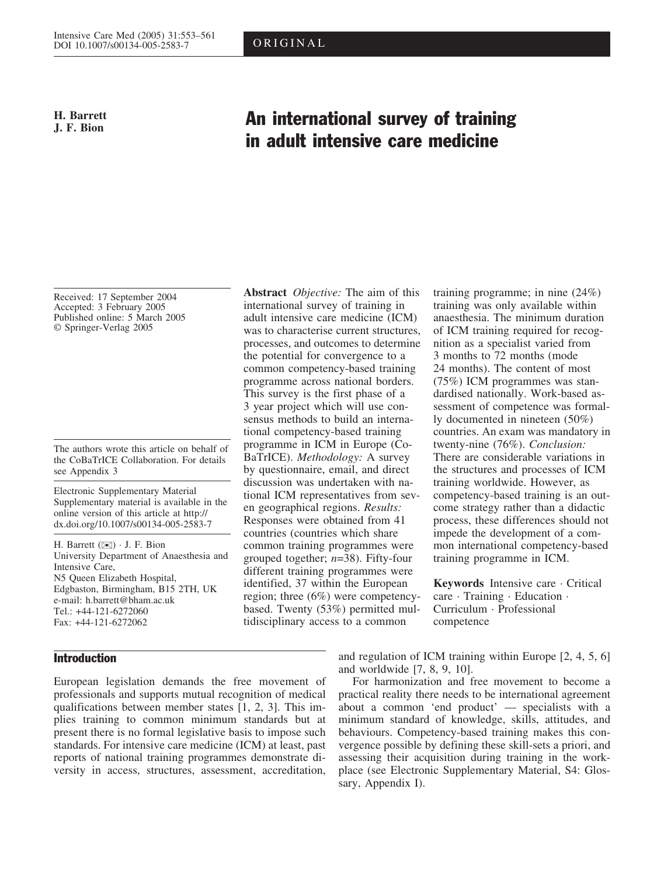H. Barrett

# H. Barrett **An international survey of training** in adult intensive care medicine

Received: 17 September 2004 Accepted: 3 February 2005 Published online: 5 March 2005 Springer-Verlag 2005

The authors wrote this article on behalf of the CoBaTrICE Collaboration. For details see Appendix 3

Electronic Supplementary Material Supplementary material is available in the online version of this article at http:// dx.doi.org/10.1007/s00134-005-2583-7

H. Barrett  $(\mathbb{Z}) \cdot J$ . F. Bion University Department of Anaesthesia and Intensive Care, N5 Queen Elizabeth Hospital, Edgbaston, Birmingham, B15 2TH, UK e-mail: h.barrett@bham.ac.uk Tel.: +44-121-6272060 Fax: +44-121-6272062

# Introduction

European legislation demands the free movement of professionals and supports mutual recognition of medical qualifications between member states [1, 2, 3]. This implies training to common minimum standards but at present there is no formal legislative basis to impose such standards. For intensive care medicine (ICM) at least, past reports of national training programmes demonstrate diversity in access, structures, assessment, accreditation,

Abstract *Objective*: The aim of this international survey of training in adult intensive care medicine (ICM) was to characterise current structures, processes, and outcomes to determine the potential for convergence to a common competency-based training programme across national borders. This survey is the first phase of a 3 year project which will use consensus methods to build an international competency-based training programme in ICM in Europe (Co-BaTrICE). Methodology: A survey by questionnaire, email, and direct discussion was undertaken with national ICM representatives from seven geographical regions. Results: Responses were obtained from 41 countries (countries which share common training programmes were grouped together;  $n=38$ ). Fifty-four different training programmes were identified, 37 within the European region; three (6%) were competencybased. Twenty (53%) permitted multidisciplinary access to a common

training programme; in nine (24%) training was only available within anaesthesia. The minimum duration of ICM training required for recognition as a specialist varied from 3 months to 72 months (mode 24 months). The content of most (75%) ICM programmes was standardised nationally. Work-based assessment of competence was formally documented in nineteen (50%) countries. An exam was mandatory in twenty-nine (76%). Conclusion: There are considerable variations in the structures and processes of ICM training worldwide. However, as competency-based training is an outcome strategy rather than a didactic process, these differences should not impede the development of a common international competency-based training programme in ICM.

Keywords Intensive care · Critical care · Training · Education · Curriculum · Professional competence

and regulation of ICM training within Europe [2, 4, 5, 6] and worldwide [7, 8, 9, 10].

For harmonization and free movement to become a practical reality there needs to be international agreement about a common 'end product' — specialists with a minimum standard of knowledge, skills, attitudes, and behaviours. Competency-based training makes this convergence possible by defining these skill-sets a priori, and assessing their acquisition during training in the workplace (see Electronic Supplementary Material, S4: Glossary, Appendix I).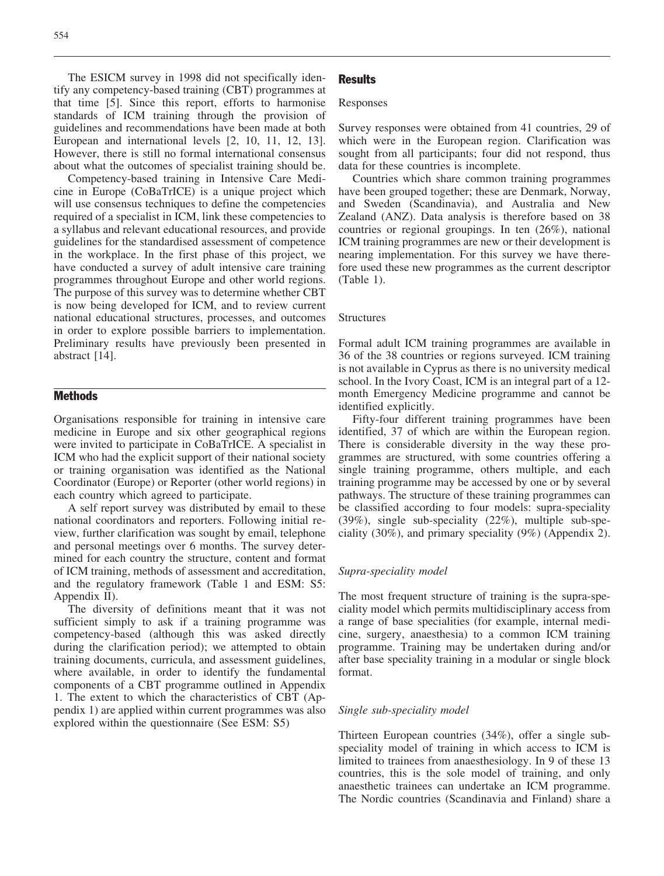The ESICM survey in 1998 did not specifically identify any competency-based training (CBT) programmes at that time [5]. Since this report, efforts to harmonise standards of ICM training through the provision of guidelines and recommendations have been made at both European and international levels [2, 10, 11, 12, 13]. However, there is still no formal international consensus about what the outcomes of specialist training should be.

Competency-based training in Intensive Care Medicine in Europe (CoBaTrICE) is a unique project which will use consensus techniques to define the competencies required of a specialist in ICM, link these competencies to a syllabus and relevant educational resources, and provide guidelines for the standardised assessment of competence in the workplace. In the first phase of this project, we have conducted a survey of adult intensive care training programmes throughout Europe and other world regions. The purpose of this survey was to determine whether CBT is now being developed for ICM, and to review current national educational structures, processes, and outcomes in order to explore possible barriers to implementation. Preliminary results have previously been presented in abstract [14].

# **Methods**

Organisations responsible for training in intensive care medicine in Europe and six other geographical regions were invited to participate in CoBaTrICE. A specialist in ICM who had the explicit support of their national society or training organisation was identified as the National Coordinator (Europe) or Reporter (other world regions) in each country which agreed to participate.

A self report survey was distributed by email to these national coordinators and reporters. Following initial review, further clarification was sought by email, telephone and personal meetings over 6 months. The survey determined for each country the structure, content and format of ICM training, methods of assessment and accreditation, and the regulatory framework (Table 1 and ESM: S5: Appendix II).

The diversity of definitions meant that it was not sufficient simply to ask if a training programme was competency-based (although this was asked directly during the clarification period); we attempted to obtain training documents, curricula, and assessment guidelines, where available, in order to identify the fundamental components of a CBT programme outlined in Appendix 1. The extent to which the characteristics of CBT (Appendix 1) are applied within current programmes was also explored within the questionnaire (See ESM: S5)

## **Results**

### Responses

Survey responses were obtained from 41 countries, 29 of which were in the European region. Clarification was sought from all participants; four did not respond, thus data for these countries is incomplete.

Countries which share common training programmes have been grouped together; these are Denmark, Norway, and Sweden (Scandinavia), and Australia and New Zealand (ANZ). Data analysis is therefore based on 38 countries or regional groupings. In ten (26%), national ICM training programmes are new or their development is nearing implementation. For this survey we have therefore used these new programmes as the current descriptor (Table 1).

#### Structures

Formal adult ICM training programmes are available in 36 of the 38 countries or regions surveyed. ICM training is not available in Cyprus as there is no university medical school. In the Ivory Coast, ICM is an integral part of a 12 month Emergency Medicine programme and cannot be identified explicitly.

Fifty-four different training programmes have been identified, 37 of which are within the European region. There is considerable diversity in the way these programmes are structured, with some countries offering a single training programme, others multiple, and each training programme may be accessed by one or by several pathways. The structure of these training programmes can be classified according to four models: supra-speciality (39%), single sub-speciality (22%), multiple sub-speciality (30%), and primary speciality (9%) (Appendix 2).

## Supra-speciality model

The most frequent structure of training is the supra-speciality model which permits multidisciplinary access from a range of base specialities (for example, internal medicine, surgery, anaesthesia) to a common ICM training programme. Training may be undertaken during and/or after base speciality training in a modular or single block format.

## Single sub-speciality model

Thirteen European countries (34%), offer a single subspeciality model of training in which access to ICM is limited to trainees from anaesthesiology. In 9 of these 13 countries, this is the sole model of training, and only anaesthetic trainees can undertake an ICM programme. The Nordic countries (Scandinavia and Finland) share a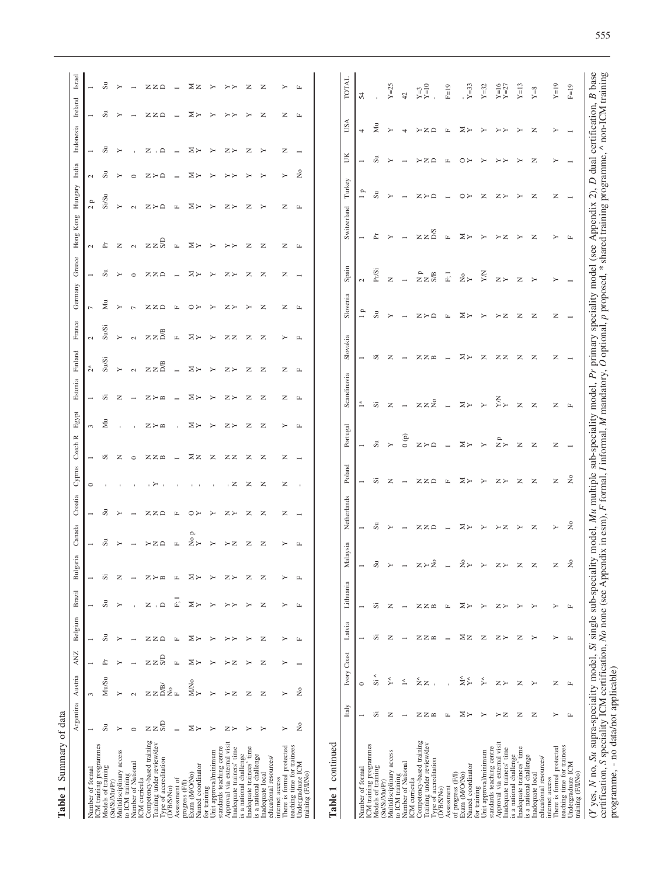| Summary of data<br>Table 1                                                                                                                                                                                              |                          |                                    |                |                       |                          |          |             |                                    |              |                            |                                                   |                  |                  |                  |                     |                                                              |                        |               |                                           |                             |              |
|-------------------------------------------------------------------------------------------------------------------------------------------------------------------------------------------------------------------------|--------------------------|------------------------------------|----------------|-----------------------|--------------------------|----------|-------------|------------------------------------|--------------|----------------------------|---------------------------------------------------|------------------|------------------|------------------|---------------------|--------------------------------------------------------------|------------------------|---------------|-------------------------------------------|-----------------------------|--------------|
|                                                                                                                                                                                                                         | Argentina                | Austria                            | <b>ANZ</b>     | Belgium               | Baril                    | Bulgaria | Canada      | Croatia                            | Cyprus       | Egypt<br>$\simeq$<br>Czech | Estonia                                           | Finland          | France           | Germany          | Greece              | Kong<br>Hong                                                 | Hungary                | India         | Indonesia                                 | Ireland                     | Israel       |
| Number of formal                                                                                                                                                                                                        | $\overline{\phantom{0}}$ |                                    |                |                       |                          |          |             | $\circ$                            |              |                            |                                                   | ្លែ              | $\sim$           |                  |                     |                                                              | $\mathbf{r}$<br>$\sim$ | $\sim$        |                                           |                             |              |
| ICM training programmes<br>Models of training                                                                                                                                                                           | Sı                       | Mu/Su                              | È              | ઝ                     | $\overline{\mathbf{s}}$  | s,       | Su          | 5                                  | ö.           | Š                          | 迈                                                 | SwSi             | Su/Si            | š                | ಹ                   | 占                                                            | Si/Su                  | Sı            | 5                                         | S,                          | $\tilde{s}$  |
| Multidisciplinary access<br>Su/Si/Mu/Pr)                                                                                                                                                                                | Y                        | $\succ$                            |                |                       | ≻                        | z        | ≻           |                                    | $\mathbb{Z}$ |                            | z                                                 | $\rightarrow$    | $\rightarrow$    | ≻                | $\rightarrow$       | Z                                                            | $\rightarrow$          | ≻             |                                           |                             |              |
| Number of National<br>to ICM training                                                                                                                                                                                   | $\circ$                  | $\sim$                             |                |                       |                          |          |             |                                    | $\circ$      |                            |                                                   | $\mathbf{C}$     | $\mathbf{C}$     |                  | $\circ$             |                                                              | $\sim$                 | $\circ$       |                                           |                             |              |
| Competency-based training<br>Training under reviewdev<br>Type of accreditation<br>(D/B/S/No)<br>ICM curricula                                                                                                           | SD<br>z                  | D/B/<br>ZZ                         | SD             | z<br>≏                | $\mathbb{Z}$<br>$\Box$   |          | ZQ<br>≻     | ZZO                                | <b>ZZA</b>   | $Z \geq \alpha$            | $Z \geq \alpha$                                   | $zz\overline{a}$ | $zz\overline{a}$ | <b>ZZA</b>       | ZZQ                 | $zz\overline{s}$                                             | $Z \geq 0$             | z<br>≏        | z<br>≏                                    | ZZQ                         | ZZQ          |
| Assessment of                                                                                                                                                                                                           |                          |                                    | $\Box$         | $\boxed{\phantom{a}}$ | É.                       |          | $\Box$      |                                    |              |                            |                                                   |                  | $\Box$           | $\Box$           |                     | $\Box$                                                       | $\Box$                 |               |                                           |                             |              |
| Named coordinator<br>Exam (M/O/No)<br>progress (F/I)                                                                                                                                                                    | z                        | MMo                                | Σ              | ⋝                     | ≍≻                       | ⋝        | $2^{\circ}$ |                                    | Σz           | ≍≻                         | ≍≍                                                | ≍≻               | ≍≻               | ○                | ≍≻                  | Σ                                                            | ≍≍                     | ⋝             | ≅                                         | ≅≻                          | Σz           |
| Unit approval/minimum<br>for training                                                                                                                                                                                   |                          |                                    |                |                       | ≻                        |          |             |                                    | z            |                            |                                                   | $\rightarrow$    |                  |                  | ≻                   |                                                              |                        |               |                                           |                             | ↣            |
| Approval via external visit<br>standards teaching centre<br>Inadequate trainers' time                                                                                                                                   | z≻                       | z                                  | z              |                       | ≻                        | z        | ≻<br>z      | z                                  | ZZ           | $Z \ge$                    | z≻                                                | z>               | ZZ               | ヱ>               | z≻                  |                                                              | $Z \ge$                |               | z                                         |                             |              |
| is a national challenge<br>Inadequate trainees' time                                                                                                                                                                    | Υ                        | z                                  | ≻              | ≻                     | ≻                        | z        | z           | z<br>z                             | z            | z                          | z                                                 | z                | z                | ≻                | z                   | z                                                            | z                      | ≻             | z                                         | ≻                           | z            |
| is a national challenge<br>educational resources/<br>Inadequate local                                                                                                                                                   | ≻                        | $\simeq$                           | z              | z                     | z                        | z        | Z           | Z<br>z                             | Z            | Z                          | z                                                 | Z                | Z                | z                | z                   | Z                                                            | ⋗                      | ≻             | ⋗                                         | z                           | Z            |
| There is formal protected<br>internet access                                                                                                                                                                            | Υ                        | Y                                  | ≻              | Y                     | ≻                        |          |             | z<br>z                             | z            | ↣                          | z                                                 | z                | ≻                | z                | z                   | z                                                            | z                      | Y             | z                                         | z                           | ≻            |
| teaching time for trainess<br>Undergraduate ICM<br>training (F/I/No)                                                                                                                                                    | $\tilde{z}$              | $\rm \stackrel{\circ}{\mathbf{Z}}$ | $\overline{ }$ | $\mathbbm{L}$         | $\mathbb{L}$             | 匞        | $\boxed{1}$ | τ,                                 |              | 工                          | 工                                                 | $\mathbb{L}$     | $\mathbb{L}$     | $\mathbf{L}$     |                     | $\mathbb{L}$                                                 | $\mathbb{L}$           | $\frac{1}{2}$ |                                           | $\boxed{1}$                 | $\mathbb{L}$ |
| continued<br>Table 1                                                                                                                                                                                                    |                          |                                    |                |                       |                          |          |             |                                    |              |                            |                                                   |                  |                  |                  |                     |                                                              |                        |               |                                           |                             |              |
|                                                                                                                                                                                                                         | Italy                    |                                    | Ivory Coast    | Latvia                | Lithuania                | Malaysia |             | Netherlands                        | Poland       | Portugal                   | Scandinavia                                       |                  | Slovakia         | Slovenia         | Spain               | Switzerland                                                  | Turkey                 | UK            | <b>USA</b>                                |                             | <b>TOTAL</b> |
| Number of formal                                                                                                                                                                                                        |                          | $\circ$                            |                |                       |                          |          |             |                                    |              |                            | $\stackrel{*}{=}$                                 |                  |                  | $\overline{1}$ p |                     |                                                              | 1 p                    |               | $\overline{ }$                            | 54                          |              |
| ICM training programmes<br>Models of training                                                                                                                                                                           | s                        | <<br>Si                            |                | ö,                    | 迈                        | F.       | 5           |                                    | s            | $\tilde{\mathbf{s}}$       | 迈                                                 | ಬಾ               |                  | Su               | Pr/Si               | 소                                                            | 5                      | 5             | Σū                                        |                             |              |
| Multidisciplinary access<br>to ICM training<br>(Su/Si/Mu/Pr)                                                                                                                                                            | z                        | ξ                                  |                | z                     | z                        |          |             |                                    | z            | $\succ$                    | z                                                 | z                |                  | ↘                | z                   |                                                              |                        |               | ≻                                         | $Y = 25$                    |              |
| Number of National<br>ICM curricula                                                                                                                                                                                     |                          | $\leq$                             |                |                       |                          |          |             |                                    |              | $\widehat{P}$              |                                                   |                  |                  |                  |                     |                                                              |                        |               |                                           | $\ddot{c}$                  |              |
| Competency-based training<br>Training under reviewdev<br>Type of accreditation<br>(D/B/S/No)                                                                                                                            | z<br>$Z \nightharpoonup$ | ź<br>Z                             |                | Z<br>zΔ               | z<br>$Z \nightharpoonup$ | 7.9      | ZZQ         |                                    | ZZQ          | $Z \geq 0$                 | $zz\overset{\circ}{z}$                            | <b>ZZA</b>       |                  | $Z \geq 0$       | $_{\rm ZZ}^{\rm p}$ | $z \ge \frac{S}{D}$                                          | $Z \geq 0$             | zΩ            | $\succ$<br>ZQ                             | $Y = 10$<br>$Y=3$           |              |
| Assessment                                                                                                                                                                                                              | $\Box$                   |                                    |                |                       | $\Box$                   |          |             |                                    | $\Box$       |                            |                                                   |                  |                  | $\Box$           | F; I                | $\Box$                                                       |                        |               | $\Box$                                    | $F=19$                      |              |
| Named coordinator<br>of progress (F/I)<br>Exam (M/O/No)                                                                                                                                                                 | ≍≻                       | ź                                  |                | Σz                    | ≅≻                       | ş        | Σ           |                                    | Σ≻           | ≍≻                         | ≍≻                                                | ≍≻               |                  | ≅                | ż                   | Σ                                                            | C                      |               | ≍≻                                        | $Y=33$                      |              |
| Unit approval/minimum<br>standards teaching centre<br>for training                                                                                                                                                      | ≻                        | ⊱                                  |                | $\mathbb Z$           |                          |          |             |                                    |              |                            |                                                   | z                |                  |                  | XX                  |                                                              | z                      |               |                                           | $Y=32$                      |              |
| Approval via external visit<br>Inadequate trainers' time                                                                                                                                                                | ≻<br>z                   | z                                  |                | $Z \succ$             | z>                       | ⇁        | z           |                                    | $Z \succ$    | $Z \ge$                    | ξ<br>$\succ$                                      | ZZ               |                  | ≻<br>z           | ァ                   | ≻<br>z                                                       | z                      |               | ≻                                         | $Y=16$<br>Y=27              |              |
| Inadequate trainees' time<br>is a national challenge<br>is a national challenge                                                                                                                                         | z                        | z                                  |                | z                     |                          |          |             |                                    | z            | Z                          | $\mathbb Z$                                       | z                |                  | z                | z                   | ↣                                                            |                        |               | ≻                                         | $Y=13$                      |              |
| educational resources/<br>Inadequate local                                                                                                                                                                              | z                        | ≻                                  |                | ≻                     |                          |          | z           |                                    | $\mathbb{Z}$ | $\mathbb{Z}$               | $\mathbb{Z}$                                      | z                |                  | z                |                     | z                                                            | z                      | z             | z                                         | $\mathbf{Y}\!=\!\mathbf{8}$ |              |
| There is formal protected<br>internet access                                                                                                                                                                            | Y                        | Z                                  |                | Υ                     | ≻                        |          | ≻           |                                    | Z            | Z                          | $\mathbb{Z}$                                      | Z                |                  | z                |                     | Υ                                                            | $\mathbb{Z}$           | ≻             | ≻                                         | $Y=19$                      |              |
| teaching time for trainees<br>Undergraduate ICM<br>training (F/I/No)                                                                                                                                                    | $\mathbb{L}$             | $\mathbb{L}$                       |                | $\boxed{\phantom{1}}$ | 匞                        | ş        | ż           |                                    | ž            |                            | $\mathbb{L}$                                      |                  |                  |                  |                     | $\boxed{1}$                                                  |                        |               |                                           | $F=19$                      |              |
| certification, S speciality ICM certification, No none (see Appendix in esm),<br>$(Y \text{ yes}, N \text{ no}, Su \text{ supra-specific}$ model, <i>Si</i> single sub-speciali<br>programme, - no data/not applicable) |                          |                                    |                |                       |                          |          |             | ty model, Mu multiple<br>F formal, |              |                            | I informal, M mandatory,<br>sub-speciality model, | Pr               | primary          | speciality       | model               | O optional, p proposed, * shared training programme,<br>(see | Appendix 2),           | Ο             | ^ non-ICM training<br>dual certification. |                             | B base       |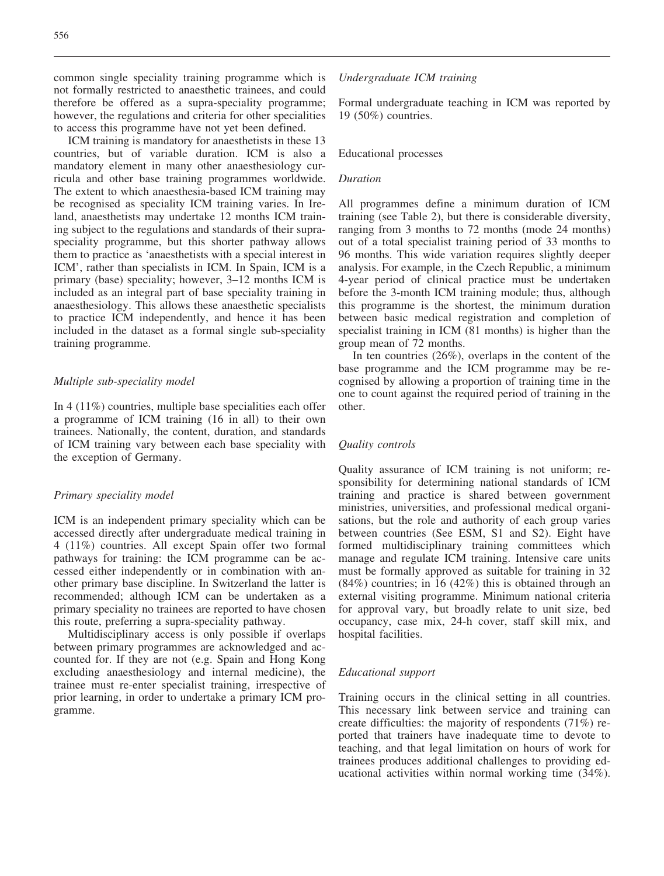common single speciality training programme which is not formally restricted to anaesthetic trainees, and could therefore be offered as a supra-speciality programme; however, the regulations and criteria for other specialities to access this programme have not yet been defined.

ICM training is mandatory for anaesthetists in these 13 countries, but of variable duration. ICM is also a mandatory element in many other anaesthesiology curricula and other base training programmes worldwide. The extent to which anaesthesia-based ICM training may be recognised as speciality ICM training varies. In Ireland, anaesthetists may undertake 12 months ICM training subject to the regulations and standards of their supraspeciality programme, but this shorter pathway allows them to practice as 'anaesthetists with a special interest in ICM', rather than specialists in ICM. In Spain, ICM is a primary (base) speciality; however, 3–12 months ICM is included as an integral part of base speciality training in anaesthesiology. This allows these anaesthetic specialists to practice ICM independently, and hence it has been included in the dataset as a formal single sub-speciality training programme.

## Multiple sub-speciality model

In 4 (11%) countries, multiple base specialities each offer a programme of ICM training (16 in all) to their own trainees. Nationally, the content, duration, and standards of ICM training vary between each base speciality with the exception of Germany.

## Primary speciality model

ICM is an independent primary speciality which can be accessed directly after undergraduate medical training in 4 (11%) countries. All except Spain offer two formal pathways for training: the ICM programme can be accessed either independently or in combination with another primary base discipline. In Switzerland the latter is recommended; although ICM can be undertaken as a primary speciality no trainees are reported to have chosen this route, preferring a supra-speciality pathway.

Multidisciplinary access is only possible if overlaps between primary programmes are acknowledged and accounted for. If they are not (e.g. Spain and Hong Kong excluding anaesthesiology and internal medicine), the trainee must re-enter specialist training, irrespective of prior learning, in order to undertake a primary ICM programme.

Undergraduate ICM training

Formal undergraduate teaching in ICM was reported by 19 (50%) countries.

### Educational processes

## Duration

All programmes define a minimum duration of ICM training (see Table 2), but there is considerable diversity, ranging from 3 months to 72 months (mode 24 months) out of a total specialist training period of 33 months to 96 months. This wide variation requires slightly deeper analysis. For example, in the Czech Republic, a minimum 4-year period of clinical practice must be undertaken before the 3-month ICM training module; thus, although this programme is the shortest, the minimum duration between basic medical registration and completion of specialist training in ICM (81 months) is higher than the group mean of 72 months.

In ten countries (26%), overlaps in the content of the base programme and the ICM programme may be recognised by allowing a proportion of training time in the one to count against the required period of training in the other.

## Quality controls

Quality assurance of ICM training is not uniform; responsibility for determining national standards of ICM training and practice is shared between government ministries, universities, and professional medical organisations, but the role and authority of each group varies between countries (See ESM, S1 and S2). Eight have formed multidisciplinary training committees which manage and regulate ICM training. Intensive care units must be formally approved as suitable for training in 32 (84%) countries; in 16 (42%) this is obtained through an external visiting programme. Minimum national criteria for approval vary, but broadly relate to unit size, bed occupancy, case mix, 24-h cover, staff skill mix, and hospital facilities.

## Educational support

Training occurs in the clinical setting in all countries. This necessary link between service and training can create difficulties: the majority of respondents (71%) reported that trainers have inadequate time to devote to teaching, and that legal limitation on hours of work for trainees produces additional challenges to providing educational activities within normal working time (34%).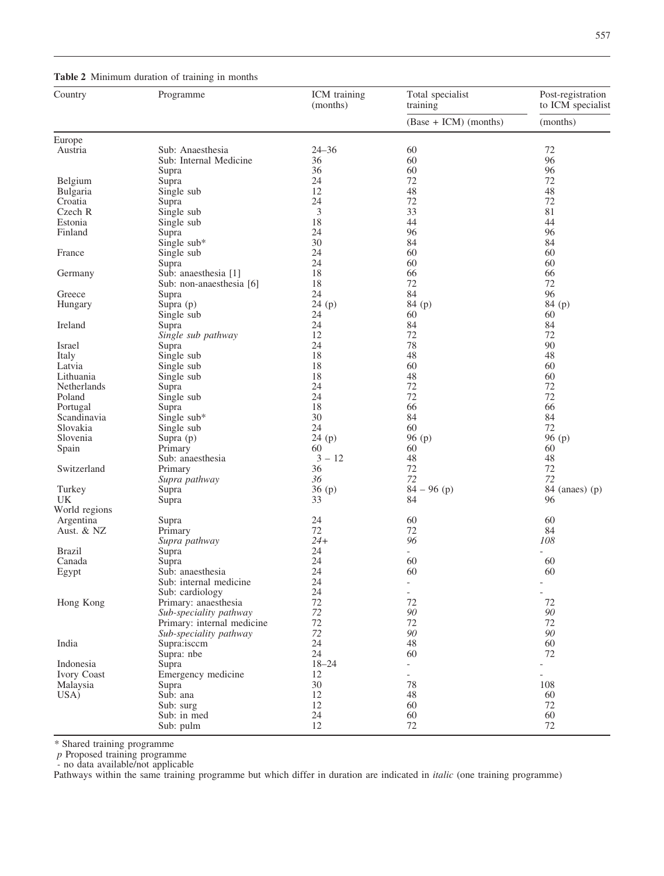# Table 2 Minimum duration of training in months

| (Base + ICM) (months)<br>(months)<br>Europe<br>Sub: Anaesthesia<br>$24 - 36$<br>60<br>72<br>Austria<br>60<br>96<br>Sub: Internal Medicine<br>36<br>60<br>36<br>96<br>Supra<br>24<br>72<br>$72\,$<br>Belgium<br>Supra<br>12<br>48<br>48<br>Single sub<br>Bulgaria<br>24<br>72<br>72<br>Croatia<br>Supra<br>3<br>33<br>81<br>Czech R<br>Single sub<br>18<br>44<br>44<br>Estonia<br>Single sub<br>24<br>96<br>96<br>Finland<br>Supra<br>30<br>Single sub*<br>84<br>84<br>24<br>Single sub<br>60<br>60<br>France<br>24<br>60<br>60<br>Supra<br>Sub: anaesthesia [1]<br>18<br>66<br>66<br>Germany<br>72<br>72<br>18<br>Sub: non-anaesthesia [6]<br>24<br>84<br>96<br>Greece<br>Supra<br>Supra $(p)$<br>24(p)<br>84 (p)<br>84 (p)<br>Hungary<br>24<br>60<br>60<br>Single sub<br>24<br>84<br>Ireland<br>84<br>Supra<br>12<br>72<br>72<br>Single sub pathway<br>78<br>90<br>24<br>Supra<br>Israel<br>18<br>48<br>48<br>Italy<br>Single sub<br>18<br>60<br>60<br>Latvia<br>Single sub<br>18<br>48<br>60<br>Lithuania<br>Single sub<br>24<br>72<br>72<br>Netherlands<br>Supra<br>24<br>72<br>72<br>Poland<br>Single sub<br>Supra<br>18<br>66<br>66<br>Portugal<br>30<br>84<br>84<br>Scandinavia<br>Single sub*<br>24<br>72<br>Single sub<br>60<br>Slovakia<br>24(p)<br>96 (p)<br>96 (p)<br>Slovenia<br>Supra $(p)$<br>60<br>60<br>60<br>Primary<br>Spain<br>$3 - 12$<br>48<br>Sub: anaesthesia<br>48<br>72<br>72<br>Switzerland<br>36<br>Primary<br>72<br>72<br>36<br>Supra pathway<br>36(p)<br>$84 - 96$ (p)<br>Turkey<br>Supra<br>84 (anaes) (p)<br>33<br>Supra<br>84<br>96<br>UK<br>World regions<br>24<br>60<br>Argentina<br>Supra<br>60<br>72<br>Aust. & NZ<br>72<br>84<br>Primary<br>$24 +$<br>96<br>108<br>Supra pathway<br>24<br><b>Brazil</b><br>Supra<br>$\overline{\phantom{a}}$<br>24<br>60<br>Canada<br>Supra<br>60<br>24<br>60<br>60<br>Sub: anaesthesia<br>Egypt<br>24<br>Sub: internal medicine<br>Sub: cardiology<br>24<br>$\overline{\phantom{0}}$<br>72<br>72<br>$72\,$<br>Hong Kong<br>Primary: anaesthesia<br>72<br>90<br>90<br>Sub-speciality pathway<br>72<br>72<br>Primary: internal medicine<br>72<br>72<br>90<br>90<br>Sub-speciality pathway<br>24<br>48<br>India<br>Supra:isccm<br>60<br>24<br>60<br>72<br>Supra: nbe<br>$18 - 24$<br>Indonesia<br>Supra<br>$\overline{\phantom{a}}$<br><b>Ivory Coast</b><br>Emergency medicine<br>12<br>$\overline{\phantom{a}}$<br>30<br>78<br>108<br>Malaysia<br>Supra<br>USA)<br>12<br>48<br>Sub: ana<br>60<br>12<br>72<br>Sub: surg<br>60<br>24<br>60<br>Sub: in med<br>60<br>12<br>72<br>72<br>Sub: pulm | Country | Programme | ICM training<br>(months) | Total specialist<br>training | Post-registration<br>to ICM specialist |
|-------------------------------------------------------------------------------------------------------------------------------------------------------------------------------------------------------------------------------------------------------------------------------------------------------------------------------------------------------------------------------------------------------------------------------------------------------------------------------------------------------------------------------------------------------------------------------------------------------------------------------------------------------------------------------------------------------------------------------------------------------------------------------------------------------------------------------------------------------------------------------------------------------------------------------------------------------------------------------------------------------------------------------------------------------------------------------------------------------------------------------------------------------------------------------------------------------------------------------------------------------------------------------------------------------------------------------------------------------------------------------------------------------------------------------------------------------------------------------------------------------------------------------------------------------------------------------------------------------------------------------------------------------------------------------------------------------------------------------------------------------------------------------------------------------------------------------------------------------------------------------------------------------------------------------------------------------------------------------------------------------------------------------------------------------------------------------------------------------------------------------------------------------------------------------------------------------------------------------------------------------------------------------------------------------------------------------------------------------------------------------------------------------------------------------------------------------------------------------------------------------------------------------------------------------------------|---------|-----------|--------------------------|------------------------------|----------------------------------------|
|                                                                                                                                                                                                                                                                                                                                                                                                                                                                                                                                                                                                                                                                                                                                                                                                                                                                                                                                                                                                                                                                                                                                                                                                                                                                                                                                                                                                                                                                                                                                                                                                                                                                                                                                                                                                                                                                                                                                                                                                                                                                                                                                                                                                                                                                                                                                                                                                                                                                                                                                                                   |         |           |                          |                              |                                        |
|                                                                                                                                                                                                                                                                                                                                                                                                                                                                                                                                                                                                                                                                                                                                                                                                                                                                                                                                                                                                                                                                                                                                                                                                                                                                                                                                                                                                                                                                                                                                                                                                                                                                                                                                                                                                                                                                                                                                                                                                                                                                                                                                                                                                                                                                                                                                                                                                                                                                                                                                                                   |         |           |                          |                              |                                        |
|                                                                                                                                                                                                                                                                                                                                                                                                                                                                                                                                                                                                                                                                                                                                                                                                                                                                                                                                                                                                                                                                                                                                                                                                                                                                                                                                                                                                                                                                                                                                                                                                                                                                                                                                                                                                                                                                                                                                                                                                                                                                                                                                                                                                                                                                                                                                                                                                                                                                                                                                                                   |         |           |                          |                              |                                        |
|                                                                                                                                                                                                                                                                                                                                                                                                                                                                                                                                                                                                                                                                                                                                                                                                                                                                                                                                                                                                                                                                                                                                                                                                                                                                                                                                                                                                                                                                                                                                                                                                                                                                                                                                                                                                                                                                                                                                                                                                                                                                                                                                                                                                                                                                                                                                                                                                                                                                                                                                                                   |         |           |                          |                              |                                        |
|                                                                                                                                                                                                                                                                                                                                                                                                                                                                                                                                                                                                                                                                                                                                                                                                                                                                                                                                                                                                                                                                                                                                                                                                                                                                                                                                                                                                                                                                                                                                                                                                                                                                                                                                                                                                                                                                                                                                                                                                                                                                                                                                                                                                                                                                                                                                                                                                                                                                                                                                                                   |         |           |                          |                              |                                        |
|                                                                                                                                                                                                                                                                                                                                                                                                                                                                                                                                                                                                                                                                                                                                                                                                                                                                                                                                                                                                                                                                                                                                                                                                                                                                                                                                                                                                                                                                                                                                                                                                                                                                                                                                                                                                                                                                                                                                                                                                                                                                                                                                                                                                                                                                                                                                                                                                                                                                                                                                                                   |         |           |                          |                              |                                        |
|                                                                                                                                                                                                                                                                                                                                                                                                                                                                                                                                                                                                                                                                                                                                                                                                                                                                                                                                                                                                                                                                                                                                                                                                                                                                                                                                                                                                                                                                                                                                                                                                                                                                                                                                                                                                                                                                                                                                                                                                                                                                                                                                                                                                                                                                                                                                                                                                                                                                                                                                                                   |         |           |                          |                              |                                        |
|                                                                                                                                                                                                                                                                                                                                                                                                                                                                                                                                                                                                                                                                                                                                                                                                                                                                                                                                                                                                                                                                                                                                                                                                                                                                                                                                                                                                                                                                                                                                                                                                                                                                                                                                                                                                                                                                                                                                                                                                                                                                                                                                                                                                                                                                                                                                                                                                                                                                                                                                                                   |         |           |                          |                              |                                        |
|                                                                                                                                                                                                                                                                                                                                                                                                                                                                                                                                                                                                                                                                                                                                                                                                                                                                                                                                                                                                                                                                                                                                                                                                                                                                                                                                                                                                                                                                                                                                                                                                                                                                                                                                                                                                                                                                                                                                                                                                                                                                                                                                                                                                                                                                                                                                                                                                                                                                                                                                                                   |         |           |                          |                              |                                        |
|                                                                                                                                                                                                                                                                                                                                                                                                                                                                                                                                                                                                                                                                                                                                                                                                                                                                                                                                                                                                                                                                                                                                                                                                                                                                                                                                                                                                                                                                                                                                                                                                                                                                                                                                                                                                                                                                                                                                                                                                                                                                                                                                                                                                                                                                                                                                                                                                                                                                                                                                                                   |         |           |                          |                              |                                        |
|                                                                                                                                                                                                                                                                                                                                                                                                                                                                                                                                                                                                                                                                                                                                                                                                                                                                                                                                                                                                                                                                                                                                                                                                                                                                                                                                                                                                                                                                                                                                                                                                                                                                                                                                                                                                                                                                                                                                                                                                                                                                                                                                                                                                                                                                                                                                                                                                                                                                                                                                                                   |         |           |                          |                              |                                        |
|                                                                                                                                                                                                                                                                                                                                                                                                                                                                                                                                                                                                                                                                                                                                                                                                                                                                                                                                                                                                                                                                                                                                                                                                                                                                                                                                                                                                                                                                                                                                                                                                                                                                                                                                                                                                                                                                                                                                                                                                                                                                                                                                                                                                                                                                                                                                                                                                                                                                                                                                                                   |         |           |                          |                              |                                        |
|                                                                                                                                                                                                                                                                                                                                                                                                                                                                                                                                                                                                                                                                                                                                                                                                                                                                                                                                                                                                                                                                                                                                                                                                                                                                                                                                                                                                                                                                                                                                                                                                                                                                                                                                                                                                                                                                                                                                                                                                                                                                                                                                                                                                                                                                                                                                                                                                                                                                                                                                                                   |         |           |                          |                              |                                        |
|                                                                                                                                                                                                                                                                                                                                                                                                                                                                                                                                                                                                                                                                                                                                                                                                                                                                                                                                                                                                                                                                                                                                                                                                                                                                                                                                                                                                                                                                                                                                                                                                                                                                                                                                                                                                                                                                                                                                                                                                                                                                                                                                                                                                                                                                                                                                                                                                                                                                                                                                                                   |         |           |                          |                              |                                        |
|                                                                                                                                                                                                                                                                                                                                                                                                                                                                                                                                                                                                                                                                                                                                                                                                                                                                                                                                                                                                                                                                                                                                                                                                                                                                                                                                                                                                                                                                                                                                                                                                                                                                                                                                                                                                                                                                                                                                                                                                                                                                                                                                                                                                                                                                                                                                                                                                                                                                                                                                                                   |         |           |                          |                              |                                        |
|                                                                                                                                                                                                                                                                                                                                                                                                                                                                                                                                                                                                                                                                                                                                                                                                                                                                                                                                                                                                                                                                                                                                                                                                                                                                                                                                                                                                                                                                                                                                                                                                                                                                                                                                                                                                                                                                                                                                                                                                                                                                                                                                                                                                                                                                                                                                                                                                                                                                                                                                                                   |         |           |                          |                              |                                        |
|                                                                                                                                                                                                                                                                                                                                                                                                                                                                                                                                                                                                                                                                                                                                                                                                                                                                                                                                                                                                                                                                                                                                                                                                                                                                                                                                                                                                                                                                                                                                                                                                                                                                                                                                                                                                                                                                                                                                                                                                                                                                                                                                                                                                                                                                                                                                                                                                                                                                                                                                                                   |         |           |                          |                              |                                        |
|                                                                                                                                                                                                                                                                                                                                                                                                                                                                                                                                                                                                                                                                                                                                                                                                                                                                                                                                                                                                                                                                                                                                                                                                                                                                                                                                                                                                                                                                                                                                                                                                                                                                                                                                                                                                                                                                                                                                                                                                                                                                                                                                                                                                                                                                                                                                                                                                                                                                                                                                                                   |         |           |                          |                              |                                        |
|                                                                                                                                                                                                                                                                                                                                                                                                                                                                                                                                                                                                                                                                                                                                                                                                                                                                                                                                                                                                                                                                                                                                                                                                                                                                                                                                                                                                                                                                                                                                                                                                                                                                                                                                                                                                                                                                                                                                                                                                                                                                                                                                                                                                                                                                                                                                                                                                                                                                                                                                                                   |         |           |                          |                              |                                        |
|                                                                                                                                                                                                                                                                                                                                                                                                                                                                                                                                                                                                                                                                                                                                                                                                                                                                                                                                                                                                                                                                                                                                                                                                                                                                                                                                                                                                                                                                                                                                                                                                                                                                                                                                                                                                                                                                                                                                                                                                                                                                                                                                                                                                                                                                                                                                                                                                                                                                                                                                                                   |         |           |                          |                              |                                        |
|                                                                                                                                                                                                                                                                                                                                                                                                                                                                                                                                                                                                                                                                                                                                                                                                                                                                                                                                                                                                                                                                                                                                                                                                                                                                                                                                                                                                                                                                                                                                                                                                                                                                                                                                                                                                                                                                                                                                                                                                                                                                                                                                                                                                                                                                                                                                                                                                                                                                                                                                                                   |         |           |                          |                              |                                        |
|                                                                                                                                                                                                                                                                                                                                                                                                                                                                                                                                                                                                                                                                                                                                                                                                                                                                                                                                                                                                                                                                                                                                                                                                                                                                                                                                                                                                                                                                                                                                                                                                                                                                                                                                                                                                                                                                                                                                                                                                                                                                                                                                                                                                                                                                                                                                                                                                                                                                                                                                                                   |         |           |                          |                              |                                        |
|                                                                                                                                                                                                                                                                                                                                                                                                                                                                                                                                                                                                                                                                                                                                                                                                                                                                                                                                                                                                                                                                                                                                                                                                                                                                                                                                                                                                                                                                                                                                                                                                                                                                                                                                                                                                                                                                                                                                                                                                                                                                                                                                                                                                                                                                                                                                                                                                                                                                                                                                                                   |         |           |                          |                              |                                        |
|                                                                                                                                                                                                                                                                                                                                                                                                                                                                                                                                                                                                                                                                                                                                                                                                                                                                                                                                                                                                                                                                                                                                                                                                                                                                                                                                                                                                                                                                                                                                                                                                                                                                                                                                                                                                                                                                                                                                                                                                                                                                                                                                                                                                                                                                                                                                                                                                                                                                                                                                                                   |         |           |                          |                              |                                        |
|                                                                                                                                                                                                                                                                                                                                                                                                                                                                                                                                                                                                                                                                                                                                                                                                                                                                                                                                                                                                                                                                                                                                                                                                                                                                                                                                                                                                                                                                                                                                                                                                                                                                                                                                                                                                                                                                                                                                                                                                                                                                                                                                                                                                                                                                                                                                                                                                                                                                                                                                                                   |         |           |                          |                              |                                        |
|                                                                                                                                                                                                                                                                                                                                                                                                                                                                                                                                                                                                                                                                                                                                                                                                                                                                                                                                                                                                                                                                                                                                                                                                                                                                                                                                                                                                                                                                                                                                                                                                                                                                                                                                                                                                                                                                                                                                                                                                                                                                                                                                                                                                                                                                                                                                                                                                                                                                                                                                                                   |         |           |                          |                              |                                        |
|                                                                                                                                                                                                                                                                                                                                                                                                                                                                                                                                                                                                                                                                                                                                                                                                                                                                                                                                                                                                                                                                                                                                                                                                                                                                                                                                                                                                                                                                                                                                                                                                                                                                                                                                                                                                                                                                                                                                                                                                                                                                                                                                                                                                                                                                                                                                                                                                                                                                                                                                                                   |         |           |                          |                              |                                        |
|                                                                                                                                                                                                                                                                                                                                                                                                                                                                                                                                                                                                                                                                                                                                                                                                                                                                                                                                                                                                                                                                                                                                                                                                                                                                                                                                                                                                                                                                                                                                                                                                                                                                                                                                                                                                                                                                                                                                                                                                                                                                                                                                                                                                                                                                                                                                                                                                                                                                                                                                                                   |         |           |                          |                              |                                        |
|                                                                                                                                                                                                                                                                                                                                                                                                                                                                                                                                                                                                                                                                                                                                                                                                                                                                                                                                                                                                                                                                                                                                                                                                                                                                                                                                                                                                                                                                                                                                                                                                                                                                                                                                                                                                                                                                                                                                                                                                                                                                                                                                                                                                                                                                                                                                                                                                                                                                                                                                                                   |         |           |                          |                              |                                        |
|                                                                                                                                                                                                                                                                                                                                                                                                                                                                                                                                                                                                                                                                                                                                                                                                                                                                                                                                                                                                                                                                                                                                                                                                                                                                                                                                                                                                                                                                                                                                                                                                                                                                                                                                                                                                                                                                                                                                                                                                                                                                                                                                                                                                                                                                                                                                                                                                                                                                                                                                                                   |         |           |                          |                              |                                        |
|                                                                                                                                                                                                                                                                                                                                                                                                                                                                                                                                                                                                                                                                                                                                                                                                                                                                                                                                                                                                                                                                                                                                                                                                                                                                                                                                                                                                                                                                                                                                                                                                                                                                                                                                                                                                                                                                                                                                                                                                                                                                                                                                                                                                                                                                                                                                                                                                                                                                                                                                                                   |         |           |                          |                              |                                        |
|                                                                                                                                                                                                                                                                                                                                                                                                                                                                                                                                                                                                                                                                                                                                                                                                                                                                                                                                                                                                                                                                                                                                                                                                                                                                                                                                                                                                                                                                                                                                                                                                                                                                                                                                                                                                                                                                                                                                                                                                                                                                                                                                                                                                                                                                                                                                                                                                                                                                                                                                                                   |         |           |                          |                              |                                        |
|                                                                                                                                                                                                                                                                                                                                                                                                                                                                                                                                                                                                                                                                                                                                                                                                                                                                                                                                                                                                                                                                                                                                                                                                                                                                                                                                                                                                                                                                                                                                                                                                                                                                                                                                                                                                                                                                                                                                                                                                                                                                                                                                                                                                                                                                                                                                                                                                                                                                                                                                                                   |         |           |                          |                              |                                        |
|                                                                                                                                                                                                                                                                                                                                                                                                                                                                                                                                                                                                                                                                                                                                                                                                                                                                                                                                                                                                                                                                                                                                                                                                                                                                                                                                                                                                                                                                                                                                                                                                                                                                                                                                                                                                                                                                                                                                                                                                                                                                                                                                                                                                                                                                                                                                                                                                                                                                                                                                                                   |         |           |                          |                              |                                        |
|                                                                                                                                                                                                                                                                                                                                                                                                                                                                                                                                                                                                                                                                                                                                                                                                                                                                                                                                                                                                                                                                                                                                                                                                                                                                                                                                                                                                                                                                                                                                                                                                                                                                                                                                                                                                                                                                                                                                                                                                                                                                                                                                                                                                                                                                                                                                                                                                                                                                                                                                                                   |         |           |                          |                              |                                        |
|                                                                                                                                                                                                                                                                                                                                                                                                                                                                                                                                                                                                                                                                                                                                                                                                                                                                                                                                                                                                                                                                                                                                                                                                                                                                                                                                                                                                                                                                                                                                                                                                                                                                                                                                                                                                                                                                                                                                                                                                                                                                                                                                                                                                                                                                                                                                                                                                                                                                                                                                                                   |         |           |                          |                              |                                        |
|                                                                                                                                                                                                                                                                                                                                                                                                                                                                                                                                                                                                                                                                                                                                                                                                                                                                                                                                                                                                                                                                                                                                                                                                                                                                                                                                                                                                                                                                                                                                                                                                                                                                                                                                                                                                                                                                                                                                                                                                                                                                                                                                                                                                                                                                                                                                                                                                                                                                                                                                                                   |         |           |                          |                              |                                        |
|                                                                                                                                                                                                                                                                                                                                                                                                                                                                                                                                                                                                                                                                                                                                                                                                                                                                                                                                                                                                                                                                                                                                                                                                                                                                                                                                                                                                                                                                                                                                                                                                                                                                                                                                                                                                                                                                                                                                                                                                                                                                                                                                                                                                                                                                                                                                                                                                                                                                                                                                                                   |         |           |                          |                              |                                        |
|                                                                                                                                                                                                                                                                                                                                                                                                                                                                                                                                                                                                                                                                                                                                                                                                                                                                                                                                                                                                                                                                                                                                                                                                                                                                                                                                                                                                                                                                                                                                                                                                                                                                                                                                                                                                                                                                                                                                                                                                                                                                                                                                                                                                                                                                                                                                                                                                                                                                                                                                                                   |         |           |                          |                              |                                        |
|                                                                                                                                                                                                                                                                                                                                                                                                                                                                                                                                                                                                                                                                                                                                                                                                                                                                                                                                                                                                                                                                                                                                                                                                                                                                                                                                                                                                                                                                                                                                                                                                                                                                                                                                                                                                                                                                                                                                                                                                                                                                                                                                                                                                                                                                                                                                                                                                                                                                                                                                                                   |         |           |                          |                              |                                        |
|                                                                                                                                                                                                                                                                                                                                                                                                                                                                                                                                                                                                                                                                                                                                                                                                                                                                                                                                                                                                                                                                                                                                                                                                                                                                                                                                                                                                                                                                                                                                                                                                                                                                                                                                                                                                                                                                                                                                                                                                                                                                                                                                                                                                                                                                                                                                                                                                                                                                                                                                                                   |         |           |                          |                              |                                        |
|                                                                                                                                                                                                                                                                                                                                                                                                                                                                                                                                                                                                                                                                                                                                                                                                                                                                                                                                                                                                                                                                                                                                                                                                                                                                                                                                                                                                                                                                                                                                                                                                                                                                                                                                                                                                                                                                                                                                                                                                                                                                                                                                                                                                                                                                                                                                                                                                                                                                                                                                                                   |         |           |                          |                              |                                        |
|                                                                                                                                                                                                                                                                                                                                                                                                                                                                                                                                                                                                                                                                                                                                                                                                                                                                                                                                                                                                                                                                                                                                                                                                                                                                                                                                                                                                                                                                                                                                                                                                                                                                                                                                                                                                                                                                                                                                                                                                                                                                                                                                                                                                                                                                                                                                                                                                                                                                                                                                                                   |         |           |                          |                              |                                        |
|                                                                                                                                                                                                                                                                                                                                                                                                                                                                                                                                                                                                                                                                                                                                                                                                                                                                                                                                                                                                                                                                                                                                                                                                                                                                                                                                                                                                                                                                                                                                                                                                                                                                                                                                                                                                                                                                                                                                                                                                                                                                                                                                                                                                                                                                                                                                                                                                                                                                                                                                                                   |         |           |                          |                              |                                        |
|                                                                                                                                                                                                                                                                                                                                                                                                                                                                                                                                                                                                                                                                                                                                                                                                                                                                                                                                                                                                                                                                                                                                                                                                                                                                                                                                                                                                                                                                                                                                                                                                                                                                                                                                                                                                                                                                                                                                                                                                                                                                                                                                                                                                                                                                                                                                                                                                                                                                                                                                                                   |         |           |                          |                              |                                        |
|                                                                                                                                                                                                                                                                                                                                                                                                                                                                                                                                                                                                                                                                                                                                                                                                                                                                                                                                                                                                                                                                                                                                                                                                                                                                                                                                                                                                                                                                                                                                                                                                                                                                                                                                                                                                                                                                                                                                                                                                                                                                                                                                                                                                                                                                                                                                                                                                                                                                                                                                                                   |         |           |                          |                              |                                        |
|                                                                                                                                                                                                                                                                                                                                                                                                                                                                                                                                                                                                                                                                                                                                                                                                                                                                                                                                                                                                                                                                                                                                                                                                                                                                                                                                                                                                                                                                                                                                                                                                                                                                                                                                                                                                                                                                                                                                                                                                                                                                                                                                                                                                                                                                                                                                                                                                                                                                                                                                                                   |         |           |                          |                              |                                        |
|                                                                                                                                                                                                                                                                                                                                                                                                                                                                                                                                                                                                                                                                                                                                                                                                                                                                                                                                                                                                                                                                                                                                                                                                                                                                                                                                                                                                                                                                                                                                                                                                                                                                                                                                                                                                                                                                                                                                                                                                                                                                                                                                                                                                                                                                                                                                                                                                                                                                                                                                                                   |         |           |                          |                              |                                        |
|                                                                                                                                                                                                                                                                                                                                                                                                                                                                                                                                                                                                                                                                                                                                                                                                                                                                                                                                                                                                                                                                                                                                                                                                                                                                                                                                                                                                                                                                                                                                                                                                                                                                                                                                                                                                                                                                                                                                                                                                                                                                                                                                                                                                                                                                                                                                                                                                                                                                                                                                                                   |         |           |                          |                              |                                        |
|                                                                                                                                                                                                                                                                                                                                                                                                                                                                                                                                                                                                                                                                                                                                                                                                                                                                                                                                                                                                                                                                                                                                                                                                                                                                                                                                                                                                                                                                                                                                                                                                                                                                                                                                                                                                                                                                                                                                                                                                                                                                                                                                                                                                                                                                                                                                                                                                                                                                                                                                                                   |         |           |                          |                              |                                        |
|                                                                                                                                                                                                                                                                                                                                                                                                                                                                                                                                                                                                                                                                                                                                                                                                                                                                                                                                                                                                                                                                                                                                                                                                                                                                                                                                                                                                                                                                                                                                                                                                                                                                                                                                                                                                                                                                                                                                                                                                                                                                                                                                                                                                                                                                                                                                                                                                                                                                                                                                                                   |         |           |                          |                              |                                        |
|                                                                                                                                                                                                                                                                                                                                                                                                                                                                                                                                                                                                                                                                                                                                                                                                                                                                                                                                                                                                                                                                                                                                                                                                                                                                                                                                                                                                                                                                                                                                                                                                                                                                                                                                                                                                                                                                                                                                                                                                                                                                                                                                                                                                                                                                                                                                                                                                                                                                                                                                                                   |         |           |                          |                              |                                        |
|                                                                                                                                                                                                                                                                                                                                                                                                                                                                                                                                                                                                                                                                                                                                                                                                                                                                                                                                                                                                                                                                                                                                                                                                                                                                                                                                                                                                                                                                                                                                                                                                                                                                                                                                                                                                                                                                                                                                                                                                                                                                                                                                                                                                                                                                                                                                                                                                                                                                                                                                                                   |         |           |                          |                              |                                        |
|                                                                                                                                                                                                                                                                                                                                                                                                                                                                                                                                                                                                                                                                                                                                                                                                                                                                                                                                                                                                                                                                                                                                                                                                                                                                                                                                                                                                                                                                                                                                                                                                                                                                                                                                                                                                                                                                                                                                                                                                                                                                                                                                                                                                                                                                                                                                                                                                                                                                                                                                                                   |         |           |                          |                              |                                        |
|                                                                                                                                                                                                                                                                                                                                                                                                                                                                                                                                                                                                                                                                                                                                                                                                                                                                                                                                                                                                                                                                                                                                                                                                                                                                                                                                                                                                                                                                                                                                                                                                                                                                                                                                                                                                                                                                                                                                                                                                                                                                                                                                                                                                                                                                                                                                                                                                                                                                                                                                                                   |         |           |                          |                              |                                        |
|                                                                                                                                                                                                                                                                                                                                                                                                                                                                                                                                                                                                                                                                                                                                                                                                                                                                                                                                                                                                                                                                                                                                                                                                                                                                                                                                                                                                                                                                                                                                                                                                                                                                                                                                                                                                                                                                                                                                                                                                                                                                                                                                                                                                                                                                                                                                                                                                                                                                                                                                                                   |         |           |                          |                              |                                        |
|                                                                                                                                                                                                                                                                                                                                                                                                                                                                                                                                                                                                                                                                                                                                                                                                                                                                                                                                                                                                                                                                                                                                                                                                                                                                                                                                                                                                                                                                                                                                                                                                                                                                                                                                                                                                                                                                                                                                                                                                                                                                                                                                                                                                                                                                                                                                                                                                                                                                                                                                                                   |         |           |                          |                              |                                        |
|                                                                                                                                                                                                                                                                                                                                                                                                                                                                                                                                                                                                                                                                                                                                                                                                                                                                                                                                                                                                                                                                                                                                                                                                                                                                                                                                                                                                                                                                                                                                                                                                                                                                                                                                                                                                                                                                                                                                                                                                                                                                                                                                                                                                                                                                                                                                                                                                                                                                                                                                                                   |         |           |                          |                              |                                        |
|                                                                                                                                                                                                                                                                                                                                                                                                                                                                                                                                                                                                                                                                                                                                                                                                                                                                                                                                                                                                                                                                                                                                                                                                                                                                                                                                                                                                                                                                                                                                                                                                                                                                                                                                                                                                                                                                                                                                                                                                                                                                                                                                                                                                                                                                                                                                                                                                                                                                                                                                                                   |         |           |                          |                              |                                        |

\* Shared training programme

p Proposed training programme

- no data available/not applicable

Pathways within the same training programme but which differ in duration are indicated in *italic* (one training programme)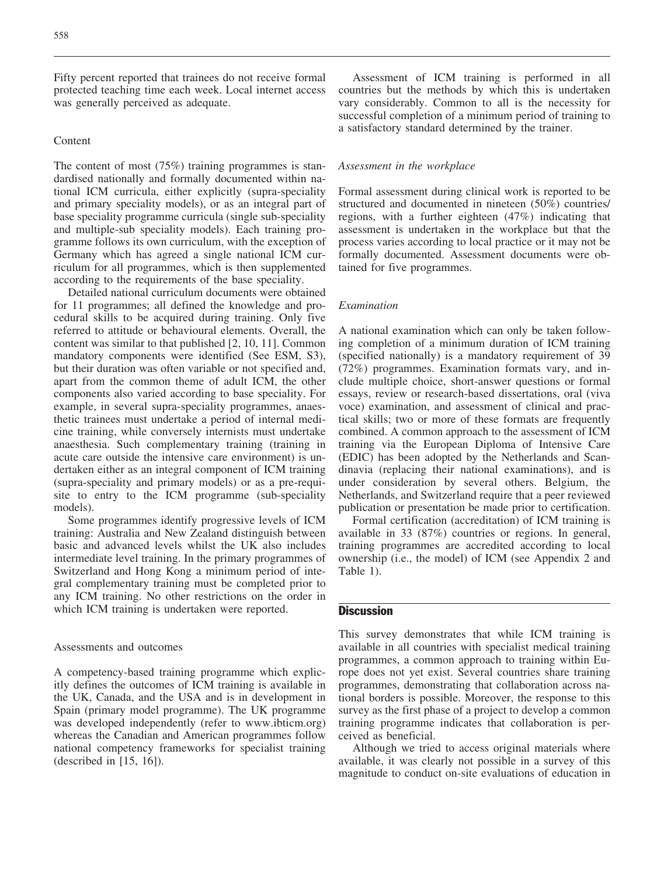Fifty percent reported that trainees do not receive formal protected teaching time each week. Local internet access was generally perceived as adequate.

## Content

The content of most (75%) training programmes is standardised nationally and formally documented within national ICM curricula, either explicitly (supra-speciality and primary speciality models), or as an integral part of base speciality programme curricula (single sub-speciality and multiple-sub speciality models). Each training programme follows its own curriculum, with the exception of Germany which has agreed a single national ICM curriculum for all programmes, which is then supplemented according to the requirements of the base speciality.

Detailed national curriculum documents were obtained for 11 programmes; all defined the knowledge and procedural skills to be acquired during training. Only five referred to attitude or behavioural elements. Overall, the content was similar to that published [2, 10, 11]. Common mandatory components were identified (See ESM, S3), but their duration was often variable or not specified and, apart from the common theme of adult ICM, the other components also varied according to base speciality. For example, in several supra-speciality programmes, anaesthetic trainees must undertake a period of internal medicine training, while conversely internists must undertake anaesthesia. Such complementary training (training in acute care outside the intensive care environment) is undertaken either as an integral component of ICM training (supra-speciality and primary models) or as a pre-requisite to entry to the ICM programme (sub-speciality models).

Some programmes identify progressive levels of ICM training: Australia and New Zealand distinguish between basic and advanced levels whilst the UK also includes intermediate level training. In the primary programmes of Switzerland and Hong Kong a minimum period of integral complementary training must be completed prior to any ICM training. No other restrictions on the order in which ICM training is undertaken were reported.

## Assessments and outcomes

A competency-based training programme which explicitly defines the outcomes of ICM training is available in the UK, Canada, and the USA and is in development in Spain (primary model programme). The UK programme was developed independently (refer to www.ibticm.org) whereas the Canadian and American programmes follow national competency frameworks for specialist training (described in [15, 16]).

Assessment of ICM training is performed in all countries but the methods by which this is undertaken vary considerably. Common to all is the necessity for successful completion of a minimum period of training to a satisfactory standard determined by the trainer.

## Assessment in the workplace

Formal assessment during clinical work is reported to be structured and documented in nineteen (50%) countries/ regions, with a further eighteen (47%) indicating that assessment is undertaken in the workplace but that the process varies according to local practice or it may not be formally documented. Assessment documents were obtained for five programmes.

### Examination

A national examination which can only be taken following completion of a minimum duration of ICM training (specified nationally) is a mandatory requirement of 39 (72%) programmes. Examination formats vary, and include multiple choice, short-answer questions or formal essays, review or research-based dissertations, oral (viva voce) examination, and assessment of clinical and practical skills; two or more of these formats are frequently combined. A common approach to the assessment of ICM training via the European Diploma of Intensive Care (EDIC) has been adopted by the Netherlands and Scandinavia (replacing their national examinations), and is under consideration by several others. Belgium, the Netherlands, and Switzerland require that a peer reviewed publication or presentation be made prior to certification.

Formal certification (accreditation) of ICM training is available in 33 (87%) countries or regions. In general, training programmes are accredited according to local ownership (i.e., the model) of ICM (see Appendix 2 and Table 1).

#### **Discussion**

This survey demonstrates that while ICM training is available in all countries with specialist medical training programmes, a common approach to training within Europe does not yet exist. Several countries share training programmes, demonstrating that collaboration across national borders is possible. Moreover, the response to this survey as the first phase of a project to develop a common training programme indicates that collaboration is perceived as beneficial.

Although we tried to access original materials where available, it was clearly not possible in a survey of this magnitude to conduct on-site evaluations of education in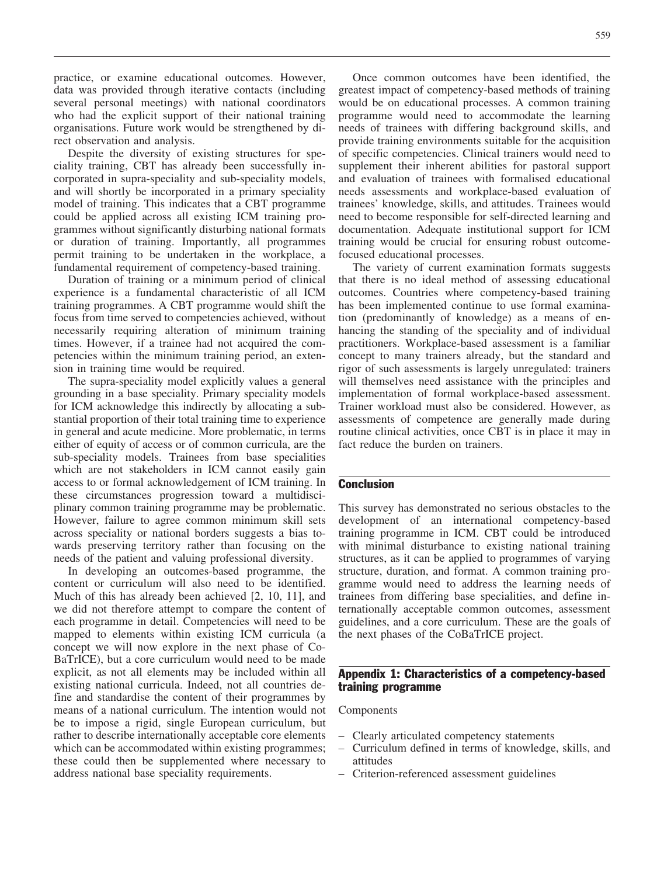practice, or examine educational outcomes. However, data was provided through iterative contacts (including several personal meetings) with national coordinators who had the explicit support of their national training organisations. Future work would be strengthened by direct observation and analysis.

Despite the diversity of existing structures for speciality training, CBT has already been successfully incorporated in supra-speciality and sub-speciality models, and will shortly be incorporated in a primary speciality model of training. This indicates that a CBT programme could be applied across all existing ICM training programmes without significantly disturbing national formats or duration of training. Importantly, all programmes permit training to be undertaken in the workplace, a fundamental requirement of competency-based training.

Duration of training or a minimum period of clinical experience is a fundamental characteristic of all ICM training programmes. A CBT programme would shift the focus from time served to competencies achieved, without necessarily requiring alteration of minimum training times. However, if a trainee had not acquired the competencies within the minimum training period, an extension in training time would be required.

The supra-speciality model explicitly values a general grounding in a base speciality. Primary speciality models for ICM acknowledge this indirectly by allocating a substantial proportion of their total training time to experience in general and acute medicine. More problematic, in terms either of equity of access or of common curricula, are the sub-speciality models. Trainees from base specialities which are not stakeholders in ICM cannot easily gain access to or formal acknowledgement of ICM training. In these circumstances progression toward a multidisciplinary common training programme may be problematic. However, failure to agree common minimum skill sets across speciality or national borders suggests a bias towards preserving territory rather than focusing on the needs of the patient and valuing professional diversity.

In developing an outcomes-based programme, the content or curriculum will also need to be identified. Much of this has already been achieved [2, 10, 11], and we did not therefore attempt to compare the content of each programme in detail. Competencies will need to be mapped to elements within existing ICM curricula (a concept we will now explore in the next phase of Co-BaTrICE), but a core curriculum would need to be made explicit, as not all elements may be included within all existing national curricula. Indeed, not all countries define and standardise the content of their programmes by means of a national curriculum. The intention would not be to impose a rigid, single European curriculum, but rather to describe internationally acceptable core elements which can be accommodated within existing programmes; these could then be supplemented where necessary to address national base speciality requirements.

Once common outcomes have been identified, the greatest impact of competency-based methods of training would be on educational processes. A common training programme would need to accommodate the learning needs of trainees with differing background skills, and provide training environments suitable for the acquisition of specific competencies. Clinical trainers would need to supplement their inherent abilities for pastoral support and evaluation of trainees with formalised educational needs assessments and workplace-based evaluation of trainees' knowledge, skills, and attitudes. Trainees would need to become responsible for self-directed learning and documentation. Adequate institutional support for ICM training would be crucial for ensuring robust outcomefocused educational processes.

The variety of current examination formats suggests that there is no ideal method of assessing educational outcomes. Countries where competency-based training has been implemented continue to use formal examination (predominantly of knowledge) as a means of enhancing the standing of the speciality and of individual practitioners. Workplace-based assessment is a familiar concept to many trainers already, but the standard and rigor of such assessments is largely unregulated: trainers will themselves need assistance with the principles and implementation of formal workplace-based assessment. Trainer workload must also be considered. However, as assessments of competence are generally made during routine clinical activities, once CBT is in place it may in fact reduce the burden on trainers.

## Conclusion

This survey has demonstrated no serious obstacles to the development of an international competency-based training programme in ICM. CBT could be introduced with minimal disturbance to existing national training structures, as it can be applied to programmes of varying structure, duration, and format. A common training programme would need to address the learning needs of trainees from differing base specialities, and define internationally acceptable common outcomes, assessment guidelines, and a core curriculum. These are the goals of the next phases of the CoBaTrICE project.

# Appendix 1: Characteristics of a competency-based training programme

### Components

- Clearly articulated competency statements
- Curriculum defined in terms of knowledge, skills, and attitudes
- Criterion-referenced assessment guidelines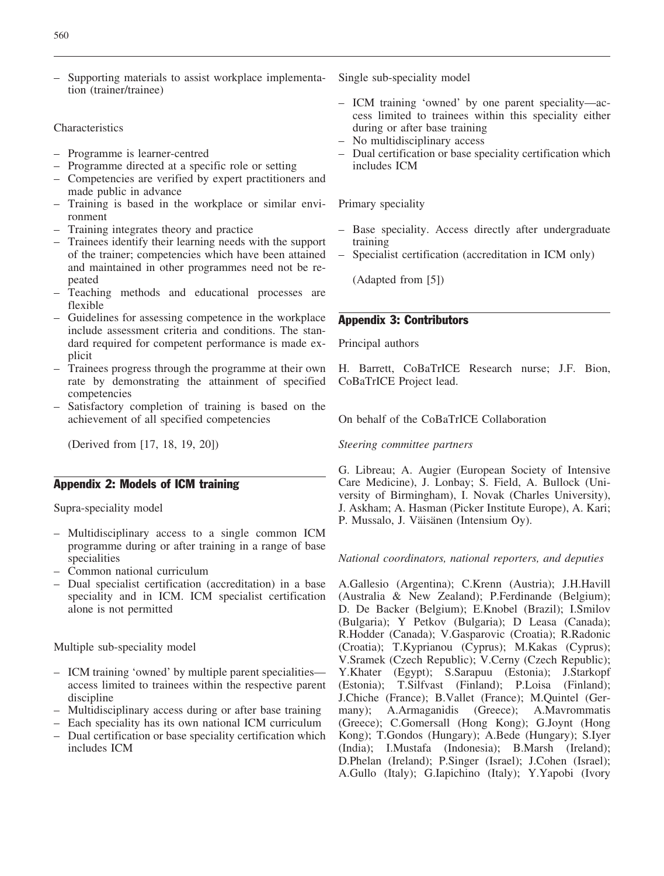– Supporting materials to assist workplace implementation (trainer/trainee)

# Characteristics

- Programme is learner-centred
- Programme directed at a specific role or setting
- Competencies are verified by expert practitioners and made public in advance
- Training is based in the workplace or similar environment
- Training integrates theory and practice
- Trainees identify their learning needs with the support of the trainer; competencies which have been attained and maintained in other programmes need not be repeated
- Teaching methods and educational processes are flexible
- Guidelines for assessing competence in the workplace include assessment criteria and conditions. The standard required for competent performance is made explicit
- Trainees progress through the programme at their own rate by demonstrating the attainment of specified competencies
- Satisfactory completion of training is based on the achievement of all specified competencies

(Derived from [17, 18, 19, 20])

# Appendix 2: Models of ICM training

Supra-speciality model

- Multidisciplinary access to a single common ICM programme during or after training in a range of base specialities
- Common national curriculum
- Dual specialist certification (accreditation) in a base speciality and in ICM. ICM specialist certification alone is not permitted

Multiple sub-speciality model

- ICM training 'owned' by multiple parent specialities access limited to trainees within the respective parent discipline
- Multidisciplinary access during or after base training
- Each speciality has its own national ICM curriculum
- Dual certification or base speciality certification which includes ICM

Single sub-speciality model

- ICM training 'owned' by one parent speciality—access limited to trainees within this speciality either during or after base training
- No multidisciplinary access
- Dual certification or base speciality certification which includes ICM

Primary speciality

- Base speciality. Access directly after undergraduate training
- Specialist certification (accreditation in ICM only)

(Adapted from [5])

# Appendix 3: Contributors

Principal authors

H. Barrett, CoBaTrICE Research nurse; J.F. Bion, CoBaTrICE Project lead.

On behalf of the CoBaTrICE Collaboration

Steering committee partners

G. Libreau; A. Augier (European Society of Intensive Care Medicine), J. Lonbay; S. Field, A. Bullock (University of Birmingham), I. Novak (Charles University), J. Askham; A. Hasman (Picker Institute Europe), A. Kari; P. Mussalo, J. Väisänen (Intensium Oy).

## National coordinators, national reporters, and deputies

A.Gallesio (Argentina); C.Krenn (Austria); J.H.Havill (Australia & New Zealand); P.Ferdinande (Belgium); D. De Backer (Belgium); E.Knobel (Brazil); I.Smilov (Bulgaria); Y Petkov (Bulgaria); D Leasa (Canada); R.Hodder (Canada); V.Gasparovic (Croatia); R.Radonic (Croatia); T.Kyprianou (Cyprus); M.Kakas (Cyprus); V.Sramek (Czech Republic); V.Cerny (Czech Republic); Y.Khater (Egypt); S.Sarapuu (Estonia); J.Starkopf (Estonia); T.Silfvast (Finland); P.Loisa (Finland); J.Chiche (France); B.Vallet (France); M.Quintel (Germany); A.Armaganidis (Greece); A.Mavrommatis (Greece); C.Gomersall (Hong Kong); G.Joynt (Hong Kong); T.Gondos (Hungary); A.Bede (Hungary); S.Iyer (India); I.Mustafa (Indonesia); B.Marsh (Ireland); D.Phelan (Ireland); P.Singer (Israel); J.Cohen (Israel); A.Gullo (Italy); G.Iapichino (Italy); Y.Yapobi (Ivory